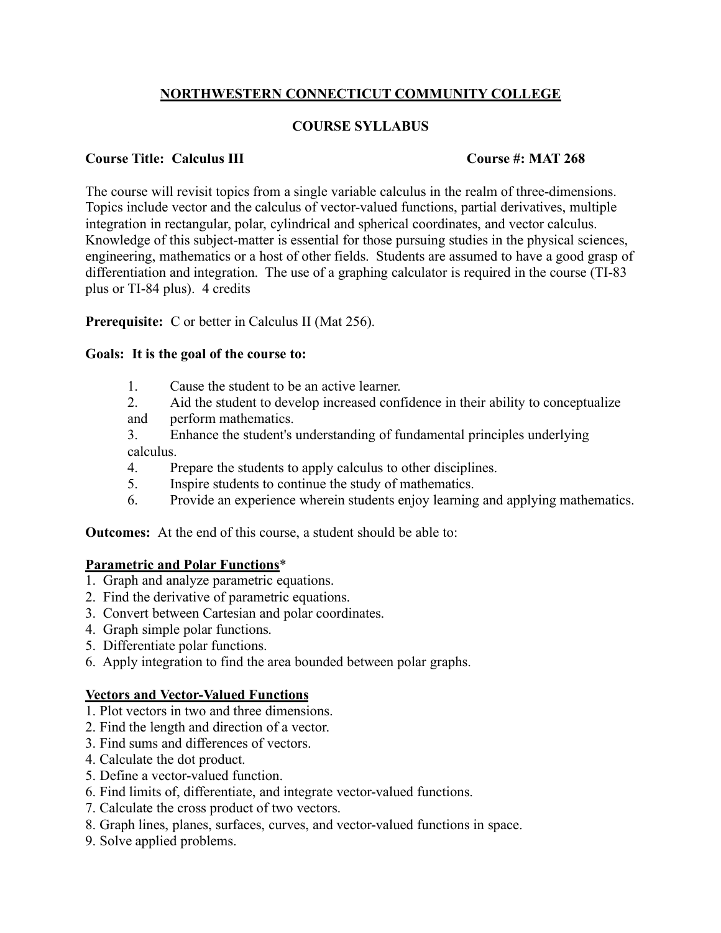# **NORTHWESTERN CONNECTICUT COMMUNITY COLLEGE**

## **COURSE SYLLABUS**

### **Course Title: Calculus III Course #: MAT 268**

The course will revisit topics from a single variable calculus in the realm of three-dimensions. Topics include vector and the calculus of vector-valued functions, partial derivatives, multiple integration in rectangular, polar, cylindrical and spherical coordinates, and vector calculus. Knowledge of this subject-matter is essential for those pursuing studies in the physical sciences, engineering, mathematics or a host of other fields. Students are assumed to have a good grasp of differentiation and integration. The use of a graphing calculator is required in the course (TI-83 plus or TI-84 plus). 4 credits

**Prerequisite:** C or better in Calculus II (Mat 256).

#### **Goals: It is the goal of the course to:**

- 1. Cause the student to be an active learner.
- 2. Aid the student to develop increased confidence in their ability to conceptualize
- and perform mathematics.
- 3. Enhance the student's understanding of fundamental principles underlying calculus.
- 4. Prepare the students to apply calculus to other disciplines.
- 5. Inspire students to continue the study of mathematics.
- 6. Provide an experience wherein students enjoy learning and applying mathematics.

**Outcomes:** At the end of this course, a student should be able to:

## **Parametric and Polar Functions**\*

- 1. Graph and analyze parametric equations.
- 2. Find the derivative of parametric equations.
- 3. Convert between Cartesian and polar coordinates.
- 4. Graph simple polar functions.
- 5. Differentiate polar functions.
- 6. Apply integration to find the area bounded between polar graphs.

## **Vectors and Vector-Valued Functions**

- 1. Plot vectors in two and three dimensions.
- 2. Find the length and direction of a vector.
- 3. Find sums and differences of vectors.
- 4. Calculate the dot product.
- 5. Define a vector-valued function.
- 6. Find limits of, differentiate, and integrate vector-valued functions.
- 7. Calculate the cross product of two vectors.
- 8. Graph lines, planes, surfaces, curves, and vector-valued functions in space.
- 9. Solve applied problems.